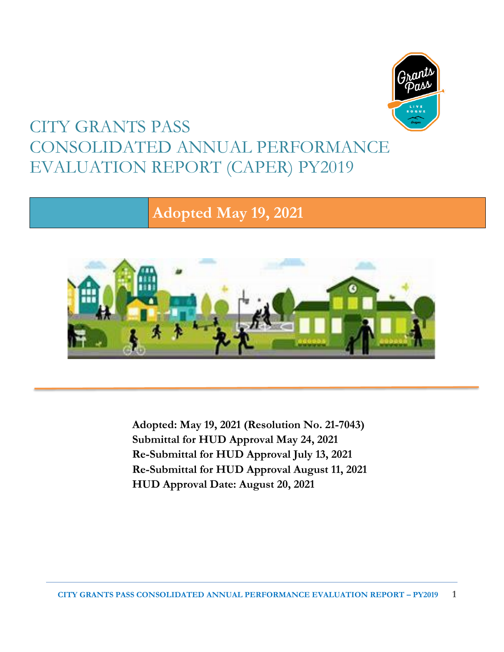

# CITY GRANTS PASS CONSOLIDATED ANNUAL PERFORMANCE EVALUATION REPORT (CAPER) PY2019

# **Adopted May 19, 2021**



**Adopted: May 19, 2021 (Resolution No. 21-7043) Submittal for HUD Approval May 24, 2021 Re-Submittal for HUD Approval July 13, 2021 Re-Submittal for HUD Approval August 11, 2021 HUD Approval Date: August 20, 2021**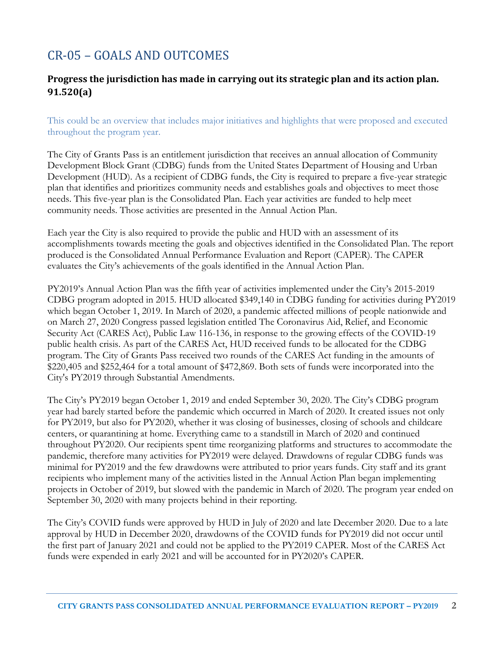# CR-05 – GOALS AND OUTCOMES

### **Progress the jurisdiction has made in carrying out its strategic plan and its action plan. 91.520(a)**

This could be an overview that includes major initiatives and highlights that were proposed and executed throughout the program year.

The City of Grants Pass is an entitlement jurisdiction that receives an annual allocation of Community Development Block Grant (CDBG) funds from the United States Department of Housing and Urban Development (HUD). As a recipient of CDBG funds, the City is required to prepare a five-year strategic plan that identifies and prioritizes community needs and establishes goals and objectives to meet those needs. This five-year plan is the Consolidated Plan. Each year activities are funded to help meet community needs. Those activities are presented in the Annual Action Plan.

Each year the City is also required to provide the public and HUD with an assessment of its accomplishments towards meeting the goals and objectives identified in the Consolidated Plan. The report produced is the Consolidated Annual Performance Evaluation and Report (CAPER). The CAPER evaluates the City's achievements of the goals identified in the Annual Action Plan.

PY2019's Annual Action Plan was the fifth year of activities implemented under the City's 2015-2019 CDBG program adopted in 2015. HUD allocated \$349,140 in CDBG funding for activities during PY2019 which began October 1, 2019. In March of 2020, a pandemic affected millions of people nationwide and on March 27, 2020 Congress passed legislation entitled The Coronavirus Aid, Relief, and Economic Security Act (CARES Act), Public Law 116-136, in response to the growing effects of the COVID-19 public health crisis. As part of the CARES Act, HUD received funds to be allocated for the CDBG program. The City of Grants Pass received two rounds of the CARES Act funding in the amounts of \$220,405 and \$252,464 for a total amount of \$472,869. Both sets of funds were incorporated into the City's PY2019 through Substantial Amendments.

The City's PY2019 began October 1, 2019 and ended September 30, 2020. The City's CDBG program year had barely started before the pandemic which occurred in March of 2020. It created issues not only for PY2019, but also for PY2020, whether it was closing of businesses, closing of schools and childcare centers, or quarantining at home. Everything came to a standstill in March of 2020 and continued throughout PY2020. Our recipients spent time reorganizing platforms and structures to accommodate the pandemic, therefore many activities for PY2019 were delayed. Drawdowns of regular CDBG funds was minimal for PY2019 and the few drawdowns were attributed to prior years funds. City staff and its grant recipients who implement many of the activities listed in the Annual Action Plan began implementing projects in October of 2019, but slowed with the pandemic in March of 2020. The program year ended on September 30, 2020 with many projects behind in their reporting.

The City's COVID funds were approved by HUD in July of 2020 and late December 2020. Due to a late approval by HUD in December 2020, drawdowns of the COVID funds for PY2019 did not occur until the first part of January 2021 and could not be applied to the PY2019 CAPER. Most of the CARES Act funds were expended in early 2021 and will be accounted for in PY2020's CAPER.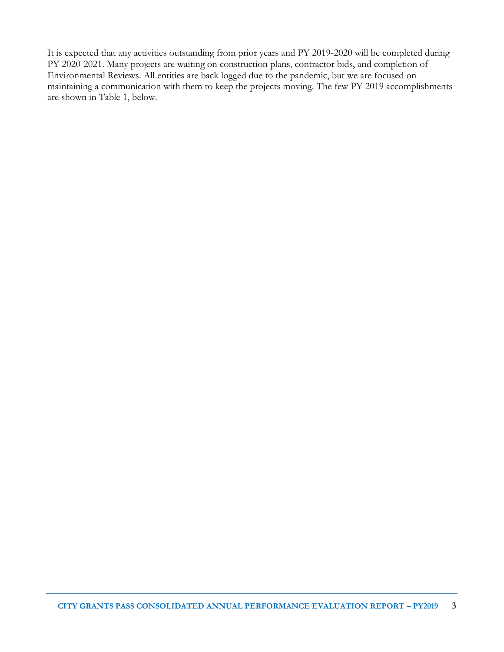It is expected that any activities outstanding from prior years and PY 2019-2020 will be completed during PY 2020-2021. Many projects are waiting on construction plans, contractor bids, and completion of Environmental Reviews. All entities are back logged due to the pandemic, but we are focused on maintaining a communication with them to keep the projects moving. The few PY 2019 accomplishments are shown in Table 1, below.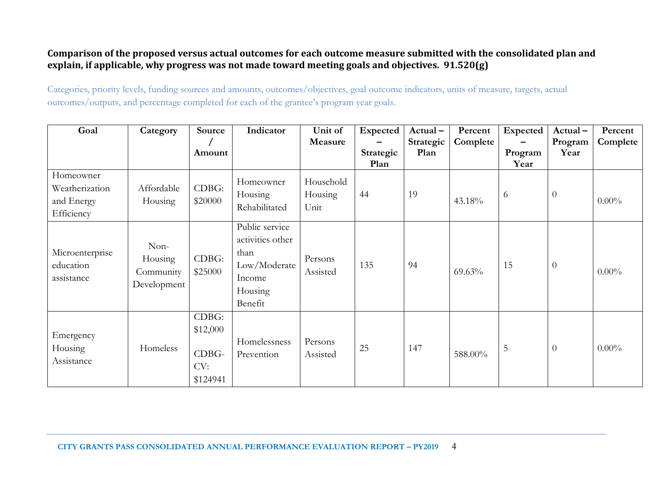#### **Comparison of the proposed versus actual outcomes for each outcome measure submitted with the consolidated plan and explain, if applicable, why progress was not made toward meeting goals and objectives. 91.520(g)**

Categories, priority levels, funding sources and amounts, outcomes/objectives, goal outcome indicators, units of measure, targets, actual outcomes/outputs, and percentage completed for each of the grantee's program year goals.

| Goal                                                    | Category                                    | Source                                        | Indicator                                                                                  | Unit of                      | Expected          | Actual-           | Percent  | Expected        | Actual-         | Percent  |
|---------------------------------------------------------|---------------------------------------------|-----------------------------------------------|--------------------------------------------------------------------------------------------|------------------------------|-------------------|-------------------|----------|-----------------|-----------------|----------|
|                                                         |                                             | Amount                                        |                                                                                            | Measure                      | Strategic<br>Plan | Strategic<br>Plan | Complete | Program<br>Year | Program<br>Year | Complete |
| Homeowner<br>Weatherization<br>and Energy<br>Efficiency | Affordable<br>Housing                       | CDBG:<br>\$20000                              | Homeowner<br>Housing<br>Rehabilitated                                                      | Household<br>Housing<br>Unit | 44                | 19                | 43.18%   | 6               | $\theta$        | $0.00\%$ |
| Microenterprise<br>education<br>assistance              | Non-<br>Housing<br>Community<br>Development | CDBG:<br>\$25000                              | Public service<br>activities other<br>than<br>Low/Moderate<br>Income<br>Housing<br>Benefit | Persons<br>Assisted          | 135               | 94                | 69.63%   | 15              | $\overline{0}$  | $0.00\%$ |
| Emergency<br>Housing<br>Assistance                      | Homeless                                    | CDBG:<br>\$12,000<br>CDBG-<br>CV:<br>\$124941 | Homelessness<br>Prevention                                                                 | Persons<br>Assisted          | 25                | 147               | 588.00%  | 5               | $\theta$        | $0.00\%$ |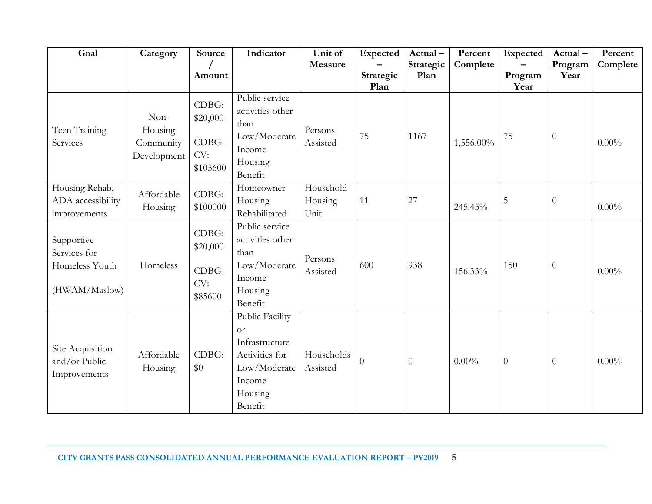| Goal                                                          | Category                                    | Source                                        | Indicator                                                                                                            | Unit of                      | Expected          | Actual-           | Percent   | Expected        | Actual-         | Percent  |
|---------------------------------------------------------------|---------------------------------------------|-----------------------------------------------|----------------------------------------------------------------------------------------------------------------------|------------------------------|-------------------|-------------------|-----------|-----------------|-----------------|----------|
|                                                               |                                             | Amount                                        |                                                                                                                      | Measure                      | Strategic<br>Plan | Strategic<br>Plan | Complete  | Program<br>Year | Program<br>Year | Complete |
| Teen Training<br>Services                                     | Non-<br>Housing<br>Community<br>Development | CDBG:<br>\$20,000<br>CDBG-<br>CV:<br>\$105600 | Public service<br>activities other<br>than<br>Low/Moderate<br>Income<br>Housing<br>Benefit                           | Persons<br>Assisted          | 75                | 1167              | 1,556.00% | 75              | $\theta$        | $0.00\%$ |
| Housing Rehab,<br>ADA accessibility<br>improvements           | Affordable<br>Housing                       | CDBG:<br>\$100000                             | Homeowner<br>Housing<br>Rehabilitated                                                                                | Household<br>Housing<br>Unit | 11                | 27                | 245.45%   | $\overline{5}$  | $\theta$        | $0.00\%$ |
| Supportive<br>Services for<br>Homeless Youth<br>(HWAM/Maslow) | Homeless                                    | CDBG:<br>\$20,000<br>CDBG-<br>CV:<br>\$85600  | Public service<br>activities other<br>than<br>Low/Moderate<br>Income<br>Housing<br>Benefit                           | Persons<br>Assisted          | 600               | 938               | 156.33%   | 150             | $\overline{0}$  | $0.00\%$ |
| Site Acquisition<br>and/or Public<br>Improvements             | Affordable<br>Housing                       | CDBG:<br>\$0                                  | Public Facility<br><sub>or</sub><br>Infrastructure<br>Activities for<br>Low/Moderate<br>Income<br>Housing<br>Benefit | Households<br>Assisted       | $\overline{0}$    | $\overline{0}$    | $0.00\%$  | $\overline{0}$  | $\theta$        | $0.00\%$ |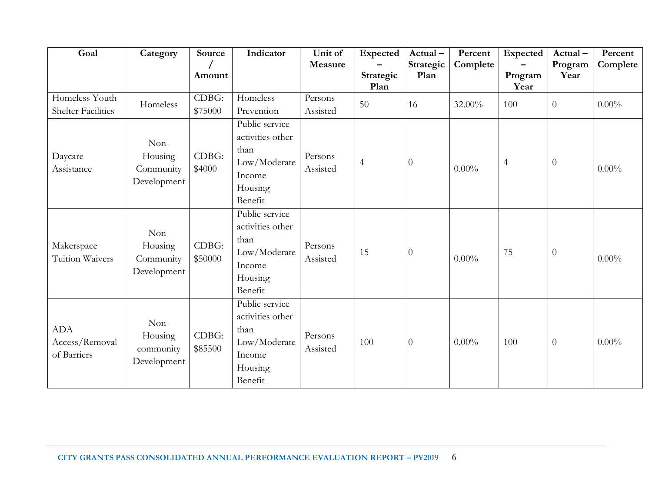| Goal                                        | Category                                    | Source           | Indicator                                                                                  | Unit of<br>Measure  | Expected          | Actual-<br>Strategic | Percent<br>Complete | <b>Expected</b> | Actual-<br>Program | Percent<br>Complete |
|---------------------------------------------|---------------------------------------------|------------------|--------------------------------------------------------------------------------------------|---------------------|-------------------|----------------------|---------------------|-----------------|--------------------|---------------------|
|                                             |                                             | Amount           |                                                                                            |                     | Strategic<br>Plan | Plan                 |                     | Program<br>Year | Year               |                     |
| Homeless Youth<br><b>Shelter Facilities</b> | Homeless                                    | CDBG:<br>\$75000 | Homeless<br>Prevention                                                                     | Persons<br>Assisted | 50                | 16                   | 32.00%              | 100             | $\boldsymbol{0}$   | $0.00\%$            |
| Daycare<br>Assistance                       | Non-<br>Housing<br>Community<br>Development | CDBG:<br>\$4000  | Public service<br>activities other<br>than<br>Low/Moderate<br>Income<br>Housing<br>Benefit | Persons<br>Assisted | $\overline{4}$    | $\theta$             | $0.00\%$            | $\overline{4}$  | $\theta$           | $0.00\%$            |
| Makerspace<br>Tuition Waivers               | Non-<br>Housing<br>Community<br>Development | CDBG:<br>\$50000 | Public service<br>activities other<br>than<br>Low/Moderate<br>Income<br>Housing<br>Benefit | Persons<br>Assisted | 15                | $\boldsymbol{0}$     | $0.00\%$            | 75              | $\boldsymbol{0}$   | $0.00\%$            |
| <b>ADA</b><br>Access/Removal<br>of Barriers | Non-<br>Housing<br>community<br>Development | CDBG:<br>\$85500 | Public service<br>activities other<br>than<br>Low/Moderate<br>Income<br>Housing<br>Benefit | Persons<br>Assisted | 100               | $\theta$             | $0.00\%$            | 100             | $\boldsymbol{0}$   | $0.00\%$            |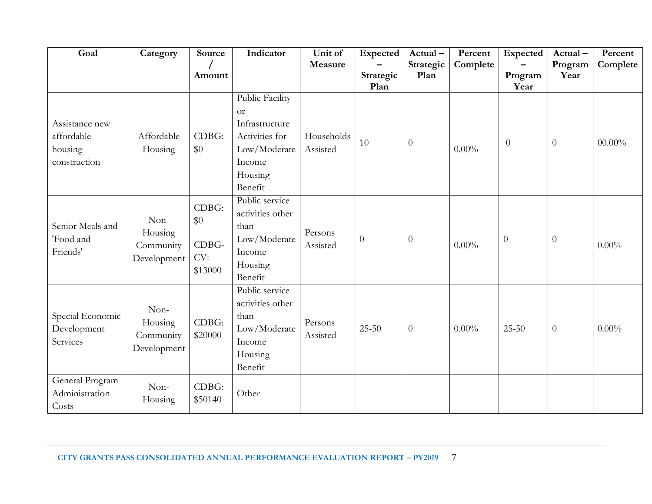| Goal                                                    | Category                                    | Source                                  | Indicator                                                                                                        | Unit of<br>Measure     | Expected          | Actual-<br>Strategic | Percent<br>Complete | Expected        | Actual-<br>Program | Percent<br>Complete |
|---------------------------------------------------------|---------------------------------------------|-----------------------------------------|------------------------------------------------------------------------------------------------------------------|------------------------|-------------------|----------------------|---------------------|-----------------|--------------------|---------------------|
|                                                         |                                             | Amount                                  |                                                                                                                  |                        | Strategic<br>Plan | Plan                 |                     | Program<br>Year | Year               |                     |
| Assistance new<br>affordable<br>housing<br>construction | Affordable<br>Housing                       | CDBG:<br>\$0                            | Public Facility<br><b>or</b><br>Infrastructure<br>Activities for<br>Low/Moderate<br>Income<br>Housing<br>Benefit | Households<br>Assisted | 10                | $\theta$             | $0.00\%$            | $\overline{0}$  | $\theta$           | $00.00\%$           |
| Senior Meals and<br>'Food and<br>Friends'               | Non-<br>Housing<br>Community<br>Development | CDBG:<br>\$0<br>CDBG-<br>CV:<br>\$13000 | Public service<br>activities other<br>than<br>Low/Moderate<br>Income<br>Housing<br>Benefit                       | Persons<br>Assisted    | $\overline{0}$    | $\overline{0}$       | $0.00\%$            | $\theta$        | $\overline{0}$     | $0.00\%$            |
| Special Economic<br>Development<br>Services             | Non-<br>Housing<br>Community<br>Development | CDBG:<br>\$20000                        | Public service<br>activities other<br>than<br>Low/Moderate<br>Income<br>Housing<br>Benefit                       | Persons<br>Assisted    | $25 - 50$         | $\boldsymbol{0}$     | $0.00\%$            | $25 - 50$       | $\theta$           | $0.00\%$            |
| General Program<br>Administration<br>Costs              | Non-<br>Housing                             | CDBG:<br>\$50140                        | Other                                                                                                            |                        |                   |                      |                     |                 |                    |                     |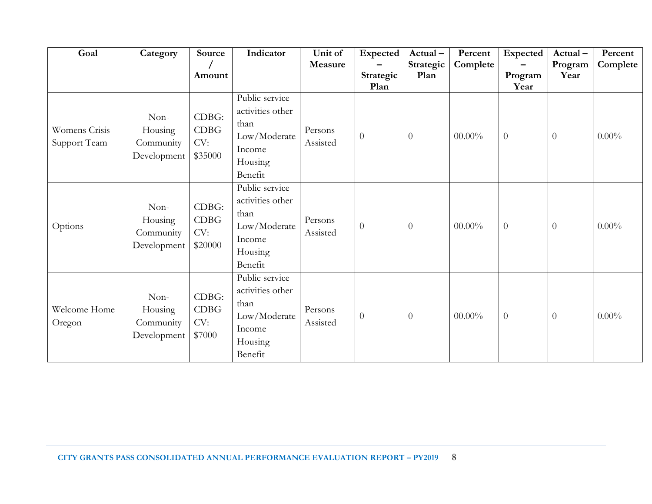| Goal                          | Category                                    | Source                                 | Indicator                                                                                  | Unit of<br>Measure  | Expected          | Actual-<br>Strategic | Percent<br>Complete | Expected         | Actual-<br>Program | Percent<br>Complete |
|-------------------------------|---------------------------------------------|----------------------------------------|--------------------------------------------------------------------------------------------|---------------------|-------------------|----------------------|---------------------|------------------|--------------------|---------------------|
|                               |                                             | Amount                                 |                                                                                            |                     | Strategic<br>Plan | Plan                 |                     | Program<br>Year  | Year               |                     |
| Womens Crisis<br>Support Team | Non-<br>Housing<br>Community<br>Development | CDBG:<br><b>CDBG</b><br>CV:<br>\$35000 | Public service<br>activities other<br>than<br>Low/Moderate<br>Income<br>Housing<br>Benefit | Persons<br>Assisted | $\overline{0}$    | $\theta$             | $00.00\%$           | $\overline{0}$   | $\overline{0}$     | $0.00\%$            |
| Options                       | Non-<br>Housing<br>Community<br>Development | CDBG:<br><b>CDBG</b><br>CV:<br>\$20000 | Public service<br>activities other<br>than<br>Low/Moderate<br>Income<br>Housing<br>Benefit | Persons<br>Assisted | $\overline{0}$    | $\theta$             | $00.00\%$           | $\theta$         | $\overline{0}$     | $0.00\%$            |
| Welcome Home<br>Oregon        | Non-<br>Housing<br>Community<br>Development | CDBG:<br><b>CDBG</b><br>CV:<br>\$7000  | Public service<br>activities other<br>than<br>Low/Moderate<br>Income<br>Housing<br>Benefit | Persons<br>Assisted | $\theta$          | $\theta$             | $00.00\%$           | $\boldsymbol{0}$ | $\theta$           | $0.00\%$            |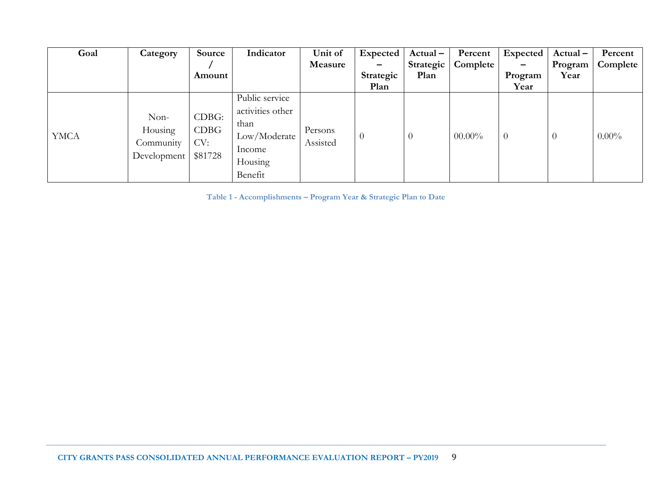|                                             |                                 | Indicator                                                                       | Unit of             | Expected                 | $Actual -$ | Percent   | Expected        | $Actual -$     | Percent  |
|---------------------------------------------|---------------------------------|---------------------------------------------------------------------------------|---------------------|--------------------------|------------|-----------|-----------------|----------------|----------|
|                                             |                                 |                                                                                 | Measure             | $\overline{\phantom{0}}$ | Strategic  | Complete  | $\qquad \qquad$ | Program        | Complete |
|                                             | Amount                          |                                                                                 |                     | Strategic                | Plan       |           | Program         | Year           |          |
|                                             |                                 |                                                                                 |                     | Plan                     |            |           | Year            |                |          |
| Non-<br>Housing<br>Community<br>Development | CDBG:<br>CDBG<br>CV:<br>\$81728 | Public service<br>activities other<br>than<br>Low/Moderate<br>Income<br>Housing | Persons<br>Assisted | $\overline{0}$           | $\theta$   | $00.00\%$ | $\overline{0}$  | $\overline{0}$ | $0.00\%$ |
|                                             |                                 |                                                                                 | Benefit             |                          |            |           |                 |                |          |

**Table 1 - Accomplishments – Program Year & Strategic Plan to Date**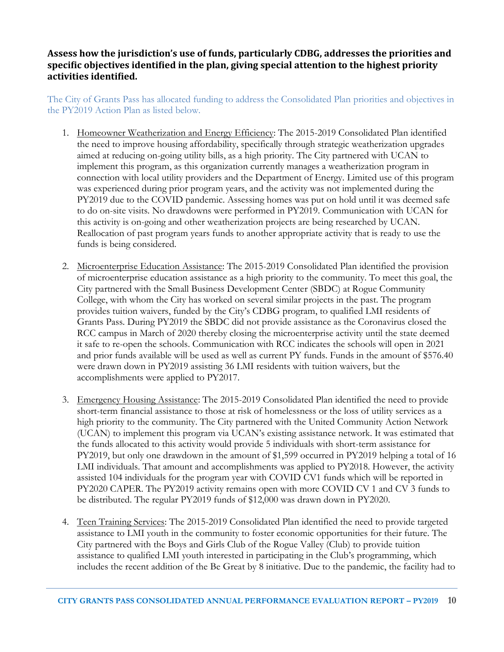#### **Assess how the jurisdiction's use of funds, particularly CDBG, addresses the priorities and specific objectives identified in the plan, giving special attention to the highest priority activities identified.**

The City of Grants Pass has allocated funding to address the Consolidated Plan priorities and objectives in the PY2019 Action Plan as listed below.

- 1. Homeowner Weatherization and Energy Efficiency: The 2015-2019 Consolidated Plan identified the need to improve housing affordability, specifically through strategic weatherization upgrades aimed at reducing on-going utility bills, as a high priority. The City partnered with UCAN to implement this program, as this organization currently manages a weatherization program in connection with local utility providers and the Department of Energy. Limited use of this program was experienced during prior program years, and the activity was not implemented during the PY2019 due to the COVID pandemic. Assessing homes was put on hold until it was deemed safe to do on-site visits. No drawdowns were performed in PY2019. Communication with UCAN for this activity is on-going and other weatherization projects are being researched by UCAN. Reallocation of past program years funds to another appropriate activity that is ready to use the funds is being considered.
- 2. Microenterprise Education Assistance: The 2015-2019 Consolidated Plan identified the provision of microenterprise education assistance as a high priority to the community. To meet this goal, the City partnered with the Small Business Development Center (SBDC) at Rogue Community College, with whom the City has worked on several similar projects in the past. The program provides tuition waivers, funded by the City's CDBG program, to qualified LMI residents of Grants Pass. During PY2019 the SBDC did not provide assistance as the Coronavirus closed the RCC campus in March of 2020 thereby closing the microenterprise activity until the state deemed it safe to re-open the schools. Communication with RCC indicates the schools will open in 2021 and prior funds available will be used as well as current PY funds. Funds in the amount of \$576.40 were drawn down in PY2019 assisting 36 LMI residents with tuition waivers, but the accomplishments were applied to PY2017.
- 3. Emergency Housing Assistance: The 2015-2019 Consolidated Plan identified the need to provide short-term financial assistance to those at risk of homelessness or the loss of utility services as a high priority to the community. The City partnered with the United Community Action Network (UCAN) to implement this program via UCAN's existing assistance network. It was estimated that the funds allocated to this activity would provide 5 individuals with short-term assistance for PY2019, but only one drawdown in the amount of \$1,599 occurred in PY2019 helping a total of 16 LMI individuals. That amount and accomplishments was applied to PY2018. However, the activity assisted 104 individuals for the program year with COVID CV1 funds which will be reported in PY2020 CAPER. The PY2019 activity remains open with more COVID CV 1 and CV 3 funds to be distributed. The regular PY2019 funds of \$12,000 was drawn down in PY2020.
- 4. Teen Training Services: The 2015-2019 Consolidated Plan identified the need to provide targeted assistance to LMI youth in the community to foster economic opportunities for their future. The City partnered with the Boys and Girls Club of the Rogue Valley (Club) to provide tuition assistance to qualified LMI youth interested in participating in the Club's programming, which includes the recent addition of the Be Great by 8 initiative. Due to the pandemic, the facility had to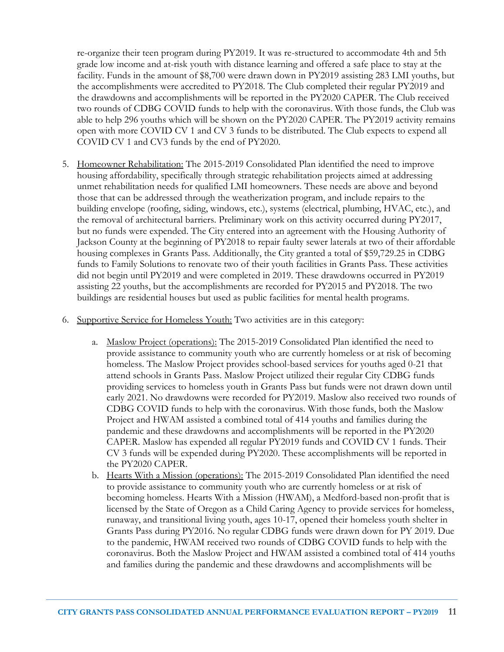re-organize their teen program during PY2019. It was re-structured to accommodate 4th and 5th grade low income and at-risk youth with distance learning and offered a safe place to stay at the facility. Funds in the amount of \$8,700 were drawn down in PY2019 assisting 283 LMI youths, but the accomplishments were accredited to PY2018. The Club completed their regular PY2019 and the drawdowns and accomplishments will be reported in the PY2020 CAPER. The Club received two rounds of CDBG COVID funds to help with the coronavirus. With those funds, the Club was able to help 296 youths which will be shown on the PY2020 CAPER. The PY2019 activity remains open with more COVID CV 1 and CV 3 funds to be distributed. The Club expects to expend all COVID CV 1 and CV3 funds by the end of PY2020.

- 5. Homeowner Rehabilitation: The 2015-2019 Consolidated Plan identified the need to improve housing affordability, specifically through strategic rehabilitation projects aimed at addressing unmet rehabilitation needs for qualified LMI homeowners. These needs are above and beyond those that can be addressed through the weatherization program, and include repairs to the building envelope (roofing, siding, windows, etc.), systems (electrical, plumbing, HVAC, etc.), and the removal of architectural barriers. Preliminary work on this activity occurred during PY2017, but no funds were expended. The City entered into an agreement with the Housing Authority of Jackson County at the beginning of PY2018 to repair faulty sewer laterals at two of their affordable housing complexes in Grants Pass. Additionally, the City granted a total of \$59,729.25 in CDBG funds to Family Solutions to renovate two of their youth facilities in Grants Pass. These activities did not begin until PY2019 and were completed in 2019. These drawdowns occurred in PY2019 assisting 22 youths, but the accomplishments are recorded for PY2015 and PY2018. The two buildings are residential houses but used as public facilities for mental health programs.
- 6. Supportive Service for Homeless Youth: Two activities are in this category:
	- a. Maslow Project (operations): The 2015-2019 Consolidated Plan identified the need to provide assistance to community youth who are currently homeless or at risk of becoming homeless. The Maslow Project provides school-based services for youths aged 0-21 that attend schools in Grants Pass. Maslow Project utilized their regular City CDBG funds providing services to homeless youth in Grants Pass but funds were not drawn down until early 2021. No drawdowns were recorded for PY2019. Maslow also received two rounds of CDBG COVID funds to help with the coronavirus. With those funds, both the Maslow Project and HWAM assisted a combined total of 414 youths and families during the pandemic and these drawdowns and accomplishments will be reported in the PY2020 CAPER. Maslow has expended all regular PY2019 funds and COVID CV 1 funds. Their CV 3 funds will be expended during PY2020. These accomplishments will be reported in the PY2020 CAPER.
	- b. Hearts With a Mission (operations): The 2015-2019 Consolidated Plan identified the need to provide assistance to community youth who are currently homeless or at risk of becoming homeless. Hearts With a Mission (HWAM), a Medford-based non-profit that is licensed by the State of Oregon as a Child Caring Agency to provide services for homeless, runaway, and transitional living youth, ages 10-17, opened their homeless youth shelter in Grants Pass during PY2016. No regular CDBG funds were drawn down for PY 2019. Due to the pandemic, HWAM received two rounds of CDBG COVID funds to help with the coronavirus. Both the Maslow Project and HWAM assisted a combined total of 414 youths and families during the pandemic and these drawdowns and accomplishments will be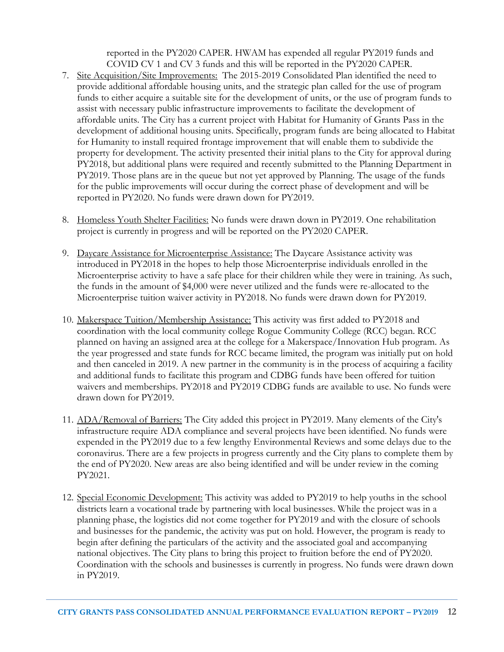reported in the PY2020 CAPER. HWAM has expended all regular PY2019 funds and COVID CV 1 and CV 3 funds and this will be reported in the PY2020 CAPER.

- 7. Site Acquisition/Site Improvements: The 2015-2019 Consolidated Plan identified the need to provide additional affordable housing units, and the strategic plan called for the use of program funds to either acquire a suitable site for the development of units, or the use of program funds to assist with necessary public infrastructure improvements to facilitate the development of affordable units. The City has a current project with Habitat for Humanity of Grants Pass in the development of additional housing units. Specifically, program funds are being allocated to Habitat for Humanity to install required frontage improvement that will enable them to subdivide the property for development. The activity presented their initial plans to the City for approval during PY2018, but additional plans were required and recently submitted to the Planning Department in PY2019. Those plans are in the queue but not yet approved by Planning. The usage of the funds for the public improvements will occur during the correct phase of development and will be reported in PY2020. No funds were drawn down for PY2019.
- 8. Homeless Youth Shelter Facilities: No funds were drawn down in PY2019. One rehabilitation project is currently in progress and will be reported on the PY2020 CAPER.
- 9. Daycare Assistance for Microenterprise Assistance: The Daycare Assistance activity was introduced in PY2018 in the hopes to help those Microenterprise individuals enrolled in the Microenterprise activity to have a safe place for their children while they were in training. As such, the funds in the amount of \$4,000 were never utilized and the funds were re-allocated to the Microenterprise tuition waiver activity in PY2018. No funds were drawn down for PY2019.
- 10. Makerspace Tuition/Membership Assistance: This activity was first added to PY2018 and coordination with the local community college Rogue Community College (RCC) began. RCC planned on having an assigned area at the college for a Makerspace/Innovation Hub program. As the year progressed and state funds for RCC became limited, the program was initially put on hold and then canceled in 2019. A new partner in the community is in the process of acquiring a facility and additional funds to facilitate this program and CDBG funds have been offered for tuition waivers and memberships. PY2018 and PY2019 CDBG funds are available to use. No funds were drawn down for PY2019.
- 11. ADA/Removal of Barriers: The City added this project in PY2019. Many elements of the City's infrastructure require ADA compliance and several projects have been identified. No funds were expended in the PY2019 due to a few lengthy Environmental Reviews and some delays due to the coronavirus. There are a few projects in progress currently and the City plans to complete them by the end of PY2020. New areas are also being identified and will be under review in the coming PY2021.
- 12. Special Economic Development: This activity was added to PY2019 to help youths in the school districts learn a vocational trade by partnering with local businesses. While the project was in a planning phase, the logistics did not come together for PY2019 and with the closure of schools and businesses for the pandemic, the activity was put on hold. However, the program is ready to begin after defining the particulars of the activity and the associated goal and accompanying national objectives. The City plans to bring this project to fruition before the end of PY2020. Coordination with the schools and businesses is currently in progress. No funds were drawn down in PY2019.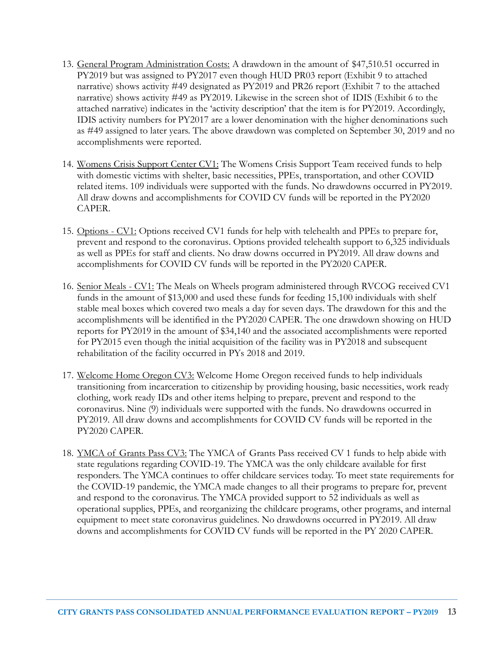- 13. General Program Administration Costs: A drawdown in the amount of \$47,510.51 occurred in PY2019 but was assigned to PY2017 even though HUD PR03 report (Exhibit 9 to attached narrative) shows activity #49 designated as PY2019 and PR26 report (Exhibit 7 to the attached narrative) shows activity #49 as PY2019. Likewise in the screen shot of IDIS (Exhibit 6 to the attached narrative) indicates in the 'activity description' that the item is for PY2019. Accordingly, IDIS activity numbers for PY2017 are a lower denomination with the higher denominations such as #49 assigned to later years. The above drawdown was completed on September 30, 2019 and no accomplishments were reported.
- 14. Womens Crisis Support Center CV1: The Womens Crisis Support Team received funds to help with domestic victims with shelter, basic necessities, PPEs, transportation, and other COVID related items. 109 individuals were supported with the funds. No drawdowns occurred in PY2019. All draw downs and accomplishments for COVID CV funds will be reported in the PY2020 CAPER.
- 15. Options CV1: Options received CV1 funds for help with telehealth and PPEs to prepare for, prevent and respond to the coronavirus. Options provided telehealth support to 6,325 individuals as well as PPEs for staff and clients. No draw downs occurred in PY2019. All draw downs and accomplishments for COVID CV funds will be reported in the PY2020 CAPER.
- 16. Senior Meals CV1: The Meals on Wheels program administered through RVCOG received CV1 funds in the amount of \$13,000 and used these funds for feeding 15,100 individuals with shelf stable meal boxes which covered two meals a day for seven days. The drawdown for this and the accomplishments will be identified in the PY2020 CAPER. The one drawdown showing on HUD reports for PY2019 in the amount of \$34,140 and the associated accomplishments were reported for PY2015 even though the initial acquisition of the facility was in PY2018 and subsequent rehabilitation of the facility occurred in PYs 2018 and 2019.
- 17. Welcome Home Oregon CV3: Welcome Home Oregon received funds to help individuals transitioning from incarceration to citizenship by providing housing, basic necessities, work ready clothing, work ready IDs and other items helping to prepare, prevent and respond to the coronavirus. Nine (9) individuals were supported with the funds. No drawdowns occurred in PY2019. All draw downs and accomplishments for COVID CV funds will be reported in the PY2020 CAPER.
- 18. YMCA of Grants Pass CV3: The YMCA of Grants Pass received CV 1 funds to help abide with state regulations regarding COVID-19. The YMCA was the only childcare available for first responders. The YMCA continues to offer childcare services today. To meet state requirements for the COVID-19 pandemic, the YMCA made changes to all their programs to prepare for, prevent and respond to the coronavirus. The YMCA provided support to 52 individuals as well as operational supplies, PPEs, and reorganizing the childcare programs, other programs, and internal equipment to meet state coronavirus guidelines. No drawdowns occurred in PY2019. All draw downs and accomplishments for COVID CV funds will be reported in the PY 2020 CAPER.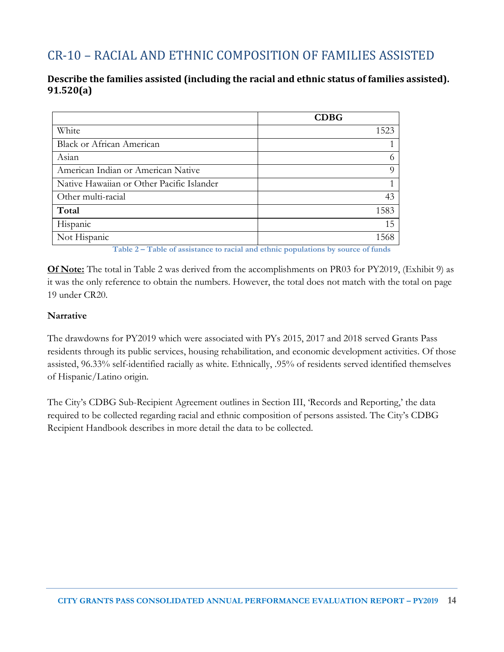# CR-10 – RACIAL AND ETHNIC COMPOSITION OF FAMILIES ASSISTED

#### **Describe the families assisted (including the racial and ethnic status of families assisted). 91.520(a)**

| White<br><b>Black or African American</b> |       | <b>CDBG</b> |
|-------------------------------------------|-------|-------------|
|                                           |       | 1523        |
|                                           |       |             |
|                                           | Asian |             |
| American Indian or American Native        |       |             |
| Native Hawaiian or Other Pacific Islander |       |             |
| Other multi-racial                        |       | 43          |
| Total                                     |       | 1583        |
| Hispanic                                  |       | 15          |
| Not Hispanic                              |       | 1568        |

**Table 2 – Table of assistance to racial and ethnic populations by source of funds**

**Of Note:** The total in Table 2 was derived from the accomplishments on PR03 for PY2019, (Exhibit 9) as it was the only reference to obtain the numbers. However, the total does not match with the total on page 19 under CR20.

#### **Narrative**

The drawdowns for PY2019 which were associated with PYs 2015, 2017 and 2018 served Grants Pass residents through its public services, housing rehabilitation, and economic development activities. Of those assisted, 96.33% self-identified racially as white. Ethnically, .95% of residents served identified themselves of Hispanic/Latino origin.

The City's CDBG Sub-Recipient Agreement outlines in Section III, 'Records and Reporting,' the data required to be collected regarding racial and ethnic composition of persons assisted. The City's CDBG Recipient Handbook describes in more detail the data to be collected.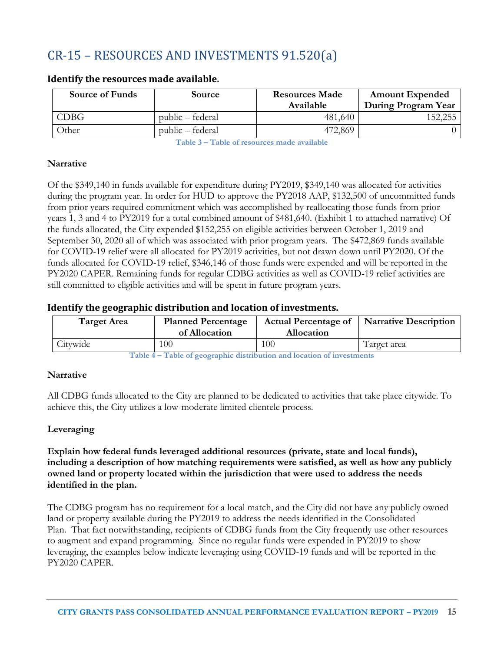# CR-15 – RESOURCES AND INVESTMENTS 91.520(a)

| <b>Source of Funds</b> | <b>Source</b>    | <b>Resources Made</b><br>Available | <b>Amount Expended</b><br>During Program Year |
|------------------------|------------------|------------------------------------|-----------------------------------------------|
| CDBG                   | public – federal | 481,640                            | 152,255                                       |
| Other                  | public – federal | 472,869                            |                                               |

#### **Identify the resources made available.**

**Table 3 – Table of resources made available**

#### **Narrative**

Of the \$349,140 in funds available for expenditure during PY2019, \$349,140 was allocated for activities during the program year. In order for HUD to approve the PY2018 AAP, \$132,500 of uncommitted funds from prior years required commitment which was accomplished by reallocating those funds from prior years 1, 3 and 4 to PY2019 for a total combined amount of \$481,640. (Exhibit 1 to attached narrative) Of the funds allocated, the City expended \$152,255 on eligible activities between October 1, 2019 and September 30, 2020 all of which was associated with prior program years. The \$472,869 funds available for COVID-19 relief were all allocated for PY2019 activities, but not drawn down until PY2020. Of the funds allocated for COVID-19 relief, \$346,146 of those funds were expended and will be reported in the PY2020 CAPER. Remaining funds for regular CDBG activities as well as COVID-19 relief activities are still committed to eligible activities and will be spent in future program years.

#### **Identify the geographic distribution and location of investments.**

| <b>Target Area</b> | <b>Planned Percentage</b><br>of Allocation | <b>Actual Percentage of</b><br><b>Allocation</b> | Narrative Description |
|--------------------|--------------------------------------------|--------------------------------------------------|-----------------------|
| Citywide           | 100                                        | 100                                              | Target area           |

**Table 4 – Table of geographic distribution and location of investments**

#### **Narrative**

All CDBG funds allocated to the City are planned to be dedicated to activities that take place citywide. To achieve this, the City utilizes a low-moderate limited clientele process.

#### **Leveraging**

**Explain how federal funds leveraged additional resources (private, state and local funds), including a description of how matching requirements were satisfied, as well as how any publicly owned land or property located within the jurisdiction that were used to address the needs identified in the plan.**

The CDBG program has no requirement for a local match, and the City did not have any publicly owned land or property available during the PY2019 to address the needs identified in the Consolidated Plan. That fact notwithstanding, recipients of CDBG funds from the City frequently use other resources to augment and expand programming. Since no regular funds were expended in PY2019 to show leveraging, the examples below indicate leveraging using COVID-19 funds and will be reported in the PY2020 CAPER.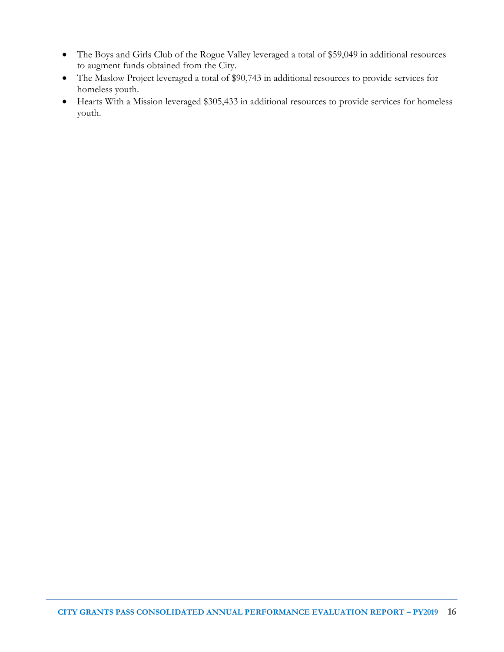- The Boys and Girls Club of the Rogue Valley leveraged a total of \$59,049 in additional resources to augment funds obtained from the City.
- The Maslow Project leveraged a total of \$90,743 in additional resources to provide services for homeless youth.
- Hearts With a Mission leveraged \$305,433 in additional resources to provide services for homeless youth.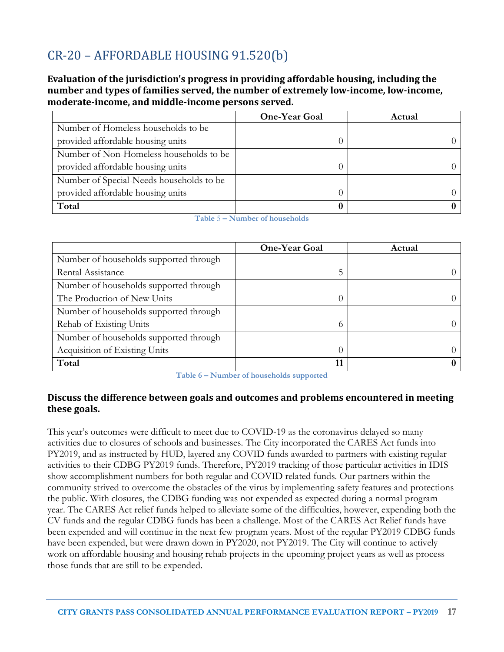# CR-20 – AFFORDABLE HOUSING 91.520(b)

**Evaluation of the jurisdiction's progress in providing affordable housing, including the number and types of families served, the number of extremely low-income, low-income, moderate-income, and middle-income persons served.**

|                                          | <b>One-Year Goal</b> | Actual |
|------------------------------------------|----------------------|--------|
| Number of Homeless households to be      |                      |        |
| provided affordable housing units        |                      |        |
| Number of Non-Homeless households to be  |                      |        |
| provided affordable housing units        |                      |        |
| Number of Special-Needs households to be |                      |        |
| provided affordable housing units        |                      |        |
| Total                                    |                      |        |

**Table** 5 **– Number of households**

|                                        | <b>One-Year Goal</b> | Actual   |
|----------------------------------------|----------------------|----------|
| Number of households supported through |                      |          |
| Rental Assistance                      | 5                    | $^{(1)}$ |
| Number of households supported through |                      |          |
| The Production of New Units            |                      |          |
| Number of households supported through |                      |          |
| Rehab of Existing Units                | $\Omega$             | $^{(1)}$ |
| Number of households supported through |                      |          |
| Acquisition of Existing Units          |                      | $\theta$ |
| Total                                  | 11                   | $\bf{0}$ |

**Table 6 – Number of households supported**

#### **Discuss the difference between goals and outcomes and problems encountered in meeting these goals.**

This year's outcomes were difficult to meet due to COVID-19 as the coronavirus delayed so many activities due to closures of schools and businesses. The City incorporated the CARES Act funds into PY2019, and as instructed by HUD, layered any COVID funds awarded to partners with existing regular activities to their CDBG PY2019 funds. Therefore, PY2019 tracking of those particular activities in IDIS show accomplishment numbers for both regular and COVID related funds. Our partners within the community strived to overcome the obstacles of the virus by implementing safety features and protections the public. With closures, the CDBG funding was not expended as expected during a normal program year. The CARES Act relief funds helped to alleviate some of the difficulties, however, expending both the CV funds and the regular CDBG funds has been a challenge. Most of the CARES Act Relief funds have been expended and will continue in the next few program years. Most of the regular PY2019 CDBG funds have been expended, but were drawn down in PY2020, not PY2019. The City will continue to actively work on affordable housing and housing rehab projects in the upcoming project years as well as process those funds that are still to be expended.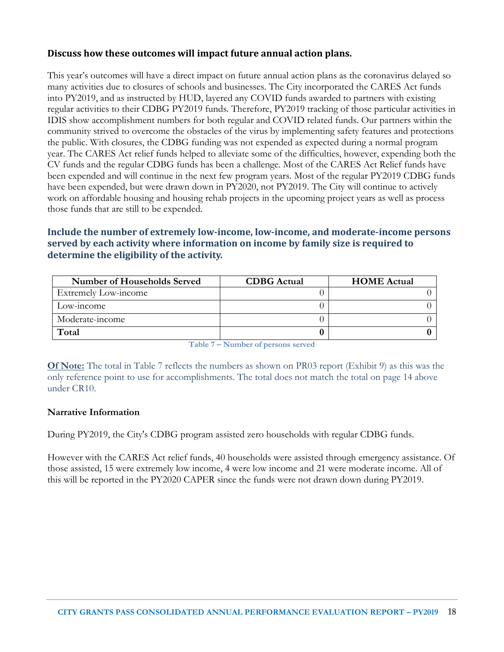#### **Discuss how these outcomes will impact future annual action plans.**

This year's outcomes will have a direct impact on future annual action plans as the coronavirus delayed so many activities due to closures of schools and businesses. The City incorporated the CARES Act funds into PY2019, and as instructed by HUD, layered any COVID funds awarded to partners with existing regular activities to their CDBG PY2019 funds. Therefore, PY2019 tracking of those particular activities in IDIS show accomplishment numbers for both regular and COVID related funds. Our partners within the community strived to overcome the obstacles of the virus by implementing safety features and protections the public. With closures, the CDBG funding was not expended as expected during a normal program year. The CARES Act relief funds helped to alleviate some of the difficulties, however, expending both the CV funds and the regular CDBG funds has been a challenge. Most of the CARES Act Relief funds have been expended and will continue in the next few program years. Most of the regular PY2019 CDBG funds have been expended, but were drawn down in PY2020, not PY2019. The City will continue to actively work on affordable housing and housing rehab projects in the upcoming project years as well as process those funds that are still to be expended.

#### **Include the number of extremely low-income, low-income, and moderate-income persons served by each activity where information on income by family size is required to determine the eligibility of the activity.**

| Number of Households Served | <b>CDBG</b> Actual | <b>HOME</b> Actual |
|-----------------------------|--------------------|--------------------|
| Extremely Low-income        |                    |                    |
| Low-income                  |                    |                    |
| Moderate-income             |                    |                    |
| Total                       |                    |                    |

**Table 7 – Number of persons served**

**Of Note:** The total in Table 7 reflects the numbers as shown on PR03 report (Exhibit 9) as this was the only reference point to use for accomplishments. The total does not match the total on page 14 above under CR10.

#### **Narrative Information**

During PY2019, the City's CDBG program assisted zero households with regular CDBG funds.

However with the CARES Act relief funds, 40 households were assisted through emergency assistance. Of those assisted, 15 were extremely low income, 4 were low income and 21 were moderate income. All of this will be reported in the PY2020 CAPER since the funds were not drawn down during PY2019.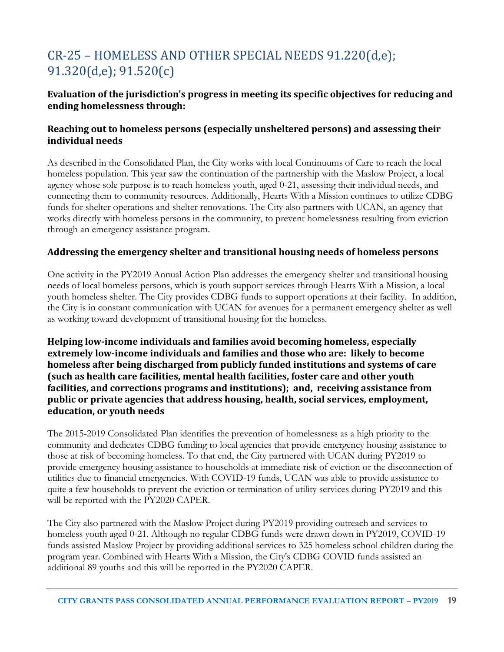# CR-25 – HOMELESS AND OTHER SPECIAL NEEDS 91.220(d,e); 91.320(d,e); 91.520(c)

#### **Evaluation of the jurisdiction's progress in meeting its specific objectives for reducing and ending homelessness through:**

#### **Reaching out to homeless persons (especially unsheltered persons) and assessing their individual needs**

As described in the Consolidated Plan, the City works with local Continuums of Care to reach the local homeless population. This year saw the continuation of the partnership with the Maslow Project, a local agency whose sole purpose is to reach homeless youth, aged 0-21, assessing their individual needs, and connecting them to community resources. Additionally, Hearts With a Mission continues to utilize CDBG funds for shelter operations and shelter renovations. The City also partners with UCAN, an agency that works directly with homeless persons in the community, to prevent homelessness resulting from eviction through an emergency assistance program.

#### **Addressing the emergency shelter and transitional housing needs of homeless persons**

One activity in the PY2019 Annual Action Plan addresses the emergency shelter and transitional housing needs of local homeless persons, which is youth support services through Hearts With a Mission, a local youth homeless shelter. The City provides CDBG funds to support operations at their facility. In addition, the City is in constant communication with UCAN for avenues for a permanent emergency shelter as well as working toward development of transitional housing for the homeless.

**Helping low-income individuals and families avoid becoming homeless, especially extremely low-income individuals and families and those who are: likely to become homeless after being discharged from publicly funded institutions and systems of care (such as health care facilities, mental health facilities, foster care and other youth facilities, and corrections programs and institutions); and, receiving assistance from public or private agencies that address housing, health, social services, employment, education, or youth needs**

The 2015-2019 Consolidated Plan identifies the prevention of homelessness as a high priority to the community and dedicates CDBG funding to local agencies that provide emergency housing assistance to those at risk of becoming homeless. To that end, the City partnered with UCAN during PY2019 to provide emergency housing assistance to households at immediate risk of eviction or the disconnection of utilities due to financial emergencies. With COVID-19 funds, UCAN was able to provide assistance to quite a few households to prevent the eviction or termination of utility services during PY2019 and this will be reported with the PY2020 CAPER.

The City also partnered with the Maslow Project during PY2019 providing outreach and services to homeless youth aged 0-21. Although no regular CDBG funds were drawn down in PY2019, COVID-19 funds assisted Maslow Project by providing additional services to 325 homeless school children during the program year. Combined with Hearts With a Mission, the City's CDBG COVID funds assisted an additional 89 youths and this will be reported in the PY2020 CAPER.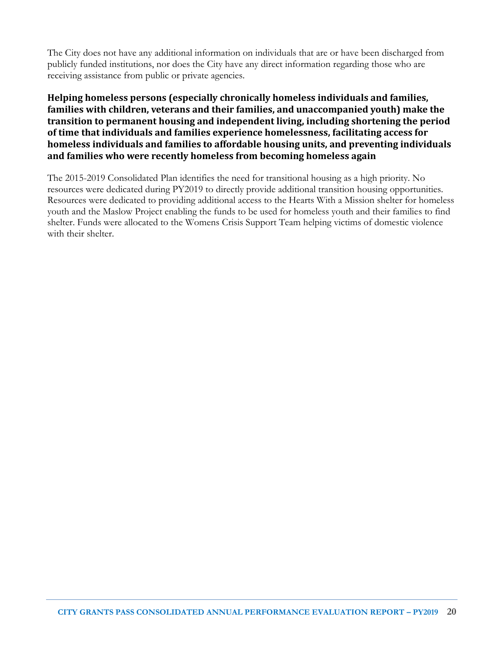The City does not have any additional information on individuals that are or have been discharged from publicly funded institutions, nor does the City have any direct information regarding those who are receiving assistance from public or private agencies.

#### **Helping homeless persons (especially chronically homeless individuals and families, families with children, veterans and their families, and unaccompanied youth) make the transition to permanent housing and independent living, including shortening the period of time that individuals and families experience homelessness, facilitating access for homeless individuals and families to affordable housing units, and preventing individuals and families who were recently homeless from becoming homeless again**

The 2015-2019 Consolidated Plan identifies the need for transitional housing as a high priority. No resources were dedicated during PY2019 to directly provide additional transition housing opportunities. Resources were dedicated to providing additional access to the Hearts With a Mission shelter for homeless youth and the Maslow Project enabling the funds to be used for homeless youth and their families to find shelter. Funds were allocated to the Womens Crisis Support Team helping victims of domestic violence with their shelter.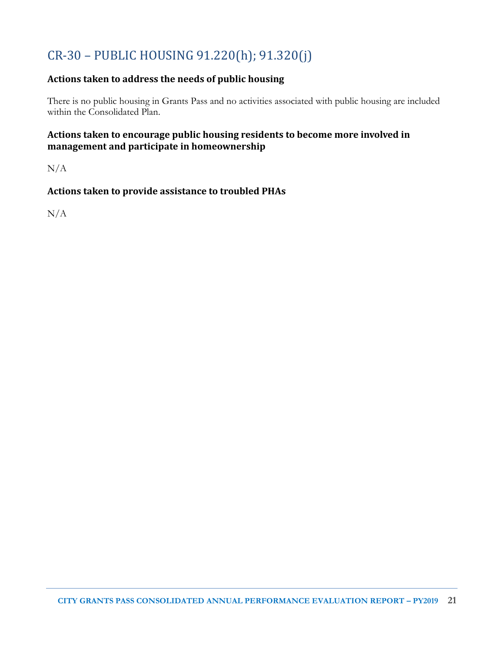# CR-30 – PUBLIC HOUSING 91.220(h); 91.320(j)

### **Actions taken to address the needs of public housing**

There is no public housing in Grants Pass and no activities associated with public housing are included within the Consolidated Plan.

#### **Actions taken to encourage public housing residents to become more involved in management and participate in homeownership**

N/A

### **Actions taken to provide assistance to troubled PHAs**

N/A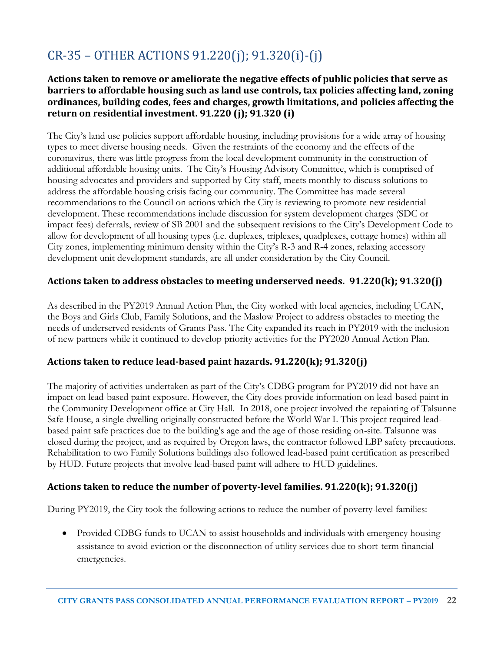# CR-35 – OTHER ACTIONS 91.220(j); 91.320(i)-(j)

#### **Actions taken to remove or ameliorate the negative effects of public policies that serve as barriers to affordable housing such as land use controls, tax policies affecting land, zoning ordinances, building codes, fees and charges, growth limitations, and policies affecting the return on residential investment. 91.220 (j); 91.320 (i)**

The City's land use policies support affordable housing, including provisions for a wide array of housing types to meet diverse housing needs. Given the restraints of the economy and the effects of the coronavirus, there was little progress from the local development community in the construction of additional affordable housing units. The City's Housing Advisory Committee, which is comprised of housing advocates and providers and supported by City staff, meets monthly to discuss solutions to address the affordable housing crisis facing our community. The Committee has made several recommendations to the Council on actions which the City is reviewing to promote new residential development. These recommendations include discussion for system development charges (SDC or impact fees) deferrals, review of SB 2001 and the subsequent revisions to the City's Development Code to allow for development of all housing types (i.e. duplexes, triplexes, quadplexes, cottage homes) within all City zones, implementing minimum density within the City's R-3 and R-4 zones, relaxing accessory development unit development standards, are all under consideration by the City Council.

#### **Actions taken to address obstacles to meeting underserved needs. 91.220(k); 91.320(j)**

As described in the PY2019 Annual Action Plan, the City worked with local agencies, including UCAN, the Boys and Girls Club, Family Solutions, and the Maslow Project to address obstacles to meeting the needs of underserved residents of Grants Pass. The City expanded its reach in PY2019 with the inclusion of new partners while it continued to develop priority activities for the PY2020 Annual Action Plan.

#### **Actions taken to reduce lead-based paint hazards. 91.220(k); 91.320(j)**

The majority of activities undertaken as part of the City's CDBG program for PY2019 did not have an impact on lead-based paint exposure. However, the City does provide information on lead-based paint in the Community Development office at City Hall. In 2018, one project involved the repainting of Talsunne Safe House, a single dwelling originally constructed before the World War I. This project required leadbased paint safe practices due to the building's age and the age of those residing on-site. Talsunne was closed during the project, and as required by Oregon laws, the contractor followed LBP safety precautions. Rehabilitation to two Family Solutions buildings also followed lead-based paint certification as prescribed by HUD. Future projects that involve lead-based paint will adhere to HUD guidelines.

#### **Actions taken to reduce the number of poverty-level families. 91.220(k); 91.320(j)**

During PY2019, the City took the following actions to reduce the number of poverty-level families:

• Provided CDBG funds to UCAN to assist households and individuals with emergency housing assistance to avoid eviction or the disconnection of utility services due to short-term financial emergencies.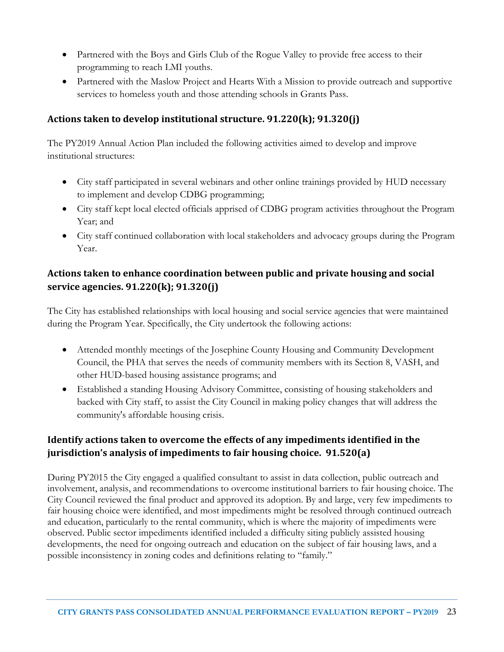- Partnered with the Boys and Girls Club of the Rogue Valley to provide free access to their programming to reach LMI youths.
- Partnered with the Maslow Project and Hearts With a Mission to provide outreach and supportive services to homeless youth and those attending schools in Grants Pass.

#### **Actions taken to develop institutional structure. 91.220(k); 91.320(j)**

The PY2019 Annual Action Plan included the following activities aimed to develop and improve institutional structures:

- City staff participated in several webinars and other online trainings provided by HUD necessary to implement and develop CDBG programming;
- City staff kept local elected officials apprised of CDBG program activities throughout the Program Year; and
- City staff continued collaboration with local stakeholders and advocacy groups during the Program Year.

### **Actions taken to enhance coordination between public and private housing and social service agencies. 91.220(k); 91.320(j)**

The City has established relationships with local housing and social service agencies that were maintained during the Program Year. Specifically, the City undertook the following actions:

- Attended monthly meetings of the Josephine County Housing and Community Development Council, the PHA that serves the needs of community members with its Section 8, VASH, and other HUD-based housing assistance programs; and
- Established a standing Housing Advisory Committee, consisting of housing stakeholders and backed with City staff, to assist the City Council in making policy changes that will address the community's affordable housing crisis.

### **Identify actions taken to overcome the effects of any impediments identified in the jurisdiction's analysis of impediments to fair housing choice. 91.520(a)**

During PY2015 the City engaged a qualified consultant to assist in data collection, public outreach and involvement, analysis, and recommendations to overcome institutional barriers to fair housing choice. The City Council reviewed the final product and approved its adoption. By and large, very few impediments to fair housing choice were identified, and most impediments might be resolved through continued outreach and education, particularly to the rental community, which is where the majority of impediments were observed. Public sector impediments identified included a difficulty siting publicly assisted housing developments, the need for ongoing outreach and education on the subject of fair housing laws, and a possible inconsistency in zoning codes and definitions relating to "family."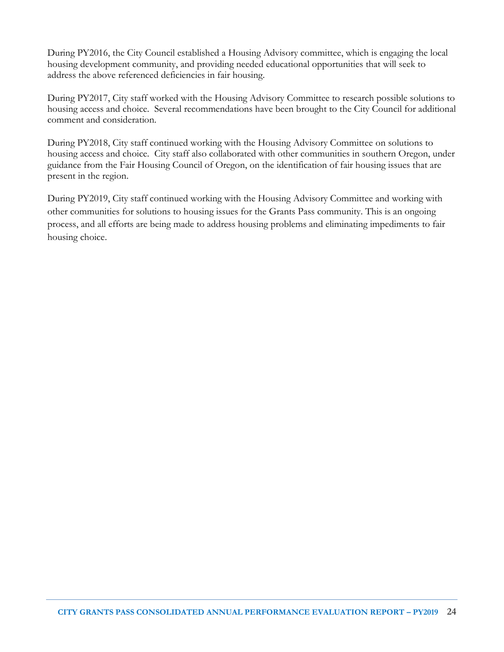During PY2016, the City Council established a Housing Advisory committee, which is engaging the local housing development community, and providing needed educational opportunities that will seek to address the above referenced deficiencies in fair housing.

During PY2017, City staff worked with the Housing Advisory Committee to research possible solutions to housing access and choice. Several recommendations have been brought to the City Council for additional comment and consideration.

During PY2018, City staff continued working with the Housing Advisory Committee on solutions to housing access and choice. City staff also collaborated with other communities in southern Oregon, under guidance from the Fair Housing Council of Oregon, on the identification of fair housing issues that are present in the region.

During PY2019, City staff continued working with the Housing Advisory Committee and working with other communities for solutions to housing issues for the Grants Pass community. This is an ongoing process, and all efforts are being made to address housing problems and eliminating impediments to fair housing choice.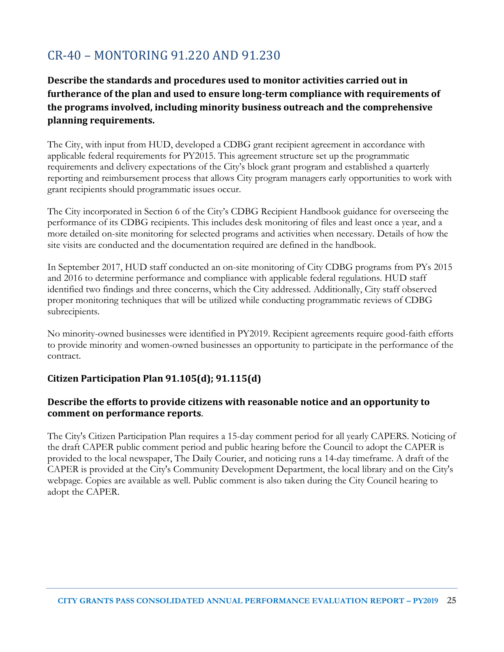### CR-40 – MONTORING 91.220 AND 91.230

### **Describe the standards and procedures used to monitor activities carried out in furtherance of the plan and used to ensure long-term compliance with requirements of the programs involved, including minority business outreach and the comprehensive planning requirements.**

The City, with input from HUD, developed a CDBG grant recipient agreement in accordance with applicable federal requirements for PY2015. This agreement structure set up the programmatic requirements and delivery expectations of the City's block grant program and established a quarterly reporting and reimbursement process that allows City program managers early opportunities to work with grant recipients should programmatic issues occur.

The City incorporated in Section 6 of the City's CDBG Recipient Handbook guidance for overseeing the performance of its CDBG recipients. This includes desk monitoring of files and least once a year, and a more detailed on-site monitoring for selected programs and activities when necessary. Details of how the site visits are conducted and the documentation required are defined in the handbook.

In September 2017, HUD staff conducted an on-site monitoring of City CDBG programs from PYs 2015 and 2016 to determine performance and compliance with applicable federal regulations. HUD staff identified two findings and three concerns, which the City addressed. Additionally, City staff observed proper monitoring techniques that will be utilized while conducting programmatic reviews of CDBG subrecipients.

No minority-owned businesses were identified in PY2019. Recipient agreements require good-faith efforts to provide minority and women-owned businesses an opportunity to participate in the performance of the contract.

### **Citizen Participation Plan 91.105(d); 91.115(d)**

#### **Describe the efforts to provide citizens with reasonable notice and an opportunity to comment on performance reports**.

The City's Citizen Participation Plan requires a 15-day comment period for all yearly CAPERS. Noticing of the draft CAPER public comment period and public hearing before the Council to adopt the CAPER is provided to the local newspaper, The Daily Courier, and noticing runs a 14-day timeframe. A draft of the CAPER is provided at the City's Community Development Department, the local library and on the City's webpage. Copies are available as well. Public comment is also taken during the City Council hearing to adopt the CAPER.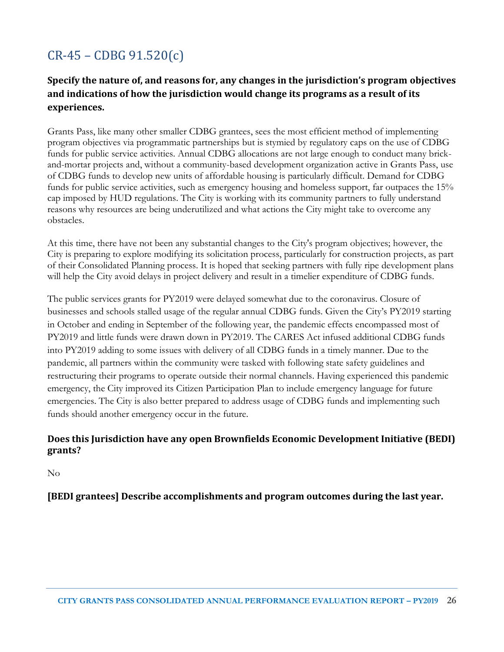# CR-45 – CDBG 91.520(c)

### **Specify the nature of, and reasons for, any changes in the jurisdiction's program objectives and indications of how the jurisdiction would change its programs as a result of its experiences.**

Grants Pass, like many other smaller CDBG grantees, sees the most efficient method of implementing program objectives via programmatic partnerships but is stymied by regulatory caps on the use of CDBG funds for public service activities. Annual CDBG allocations are not large enough to conduct many brickand-mortar projects and, without a community-based development organization active in Grants Pass, use of CDBG funds to develop new units of affordable housing is particularly difficult. Demand for CDBG funds for public service activities, such as emergency housing and homeless support, far outpaces the 15% cap imposed by HUD regulations. The City is working with its community partners to fully understand reasons why resources are being underutilized and what actions the City might take to overcome any obstacles.

At this time, there have not been any substantial changes to the City's program objectives; however, the City is preparing to explore modifying its solicitation process, particularly for construction projects, as part of their Consolidated Planning process. It is hoped that seeking partners with fully ripe development plans will help the City avoid delays in project delivery and result in a timelier expenditure of CDBG funds.

The public services grants for PY2019 were delayed somewhat due to the coronavirus. Closure of businesses and schools stalled usage of the regular annual CDBG funds. Given the City's PY2019 starting in October and ending in September of the following year, the pandemic effects encompassed most of PY2019 and little funds were drawn down in PY2019. The CARES Act infused additional CDBG funds into PY2019 adding to some issues with delivery of all CDBG funds in a timely manner. Due to the pandemic, all partners within the community were tasked with following state safety guidelines and restructuring their programs to operate outside their normal channels. Having experienced this pandemic emergency, the City improved its Citizen Participation Plan to include emergency language for future emergencies. The City is also better prepared to address usage of CDBG funds and implementing such funds should another emergency occur in the future.

#### **Does this Jurisdiction have any open Brownfields Economic Development Initiative (BEDI) grants?**

No

**[BEDI grantees] Describe accomplishments and program outcomes during the last year.**